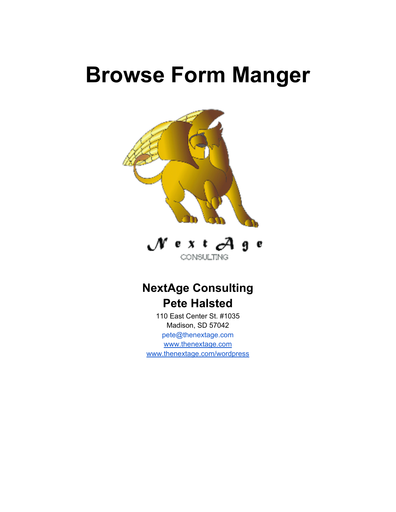# **Browse Form Manger**





# **NextAge Consulting Pete Halsted**

110 East Center St. #1035 Madison, SD 57042 pete@thenextage.com [www.thenextage.com](http://www.thenextage.com/) [www.thenextage.com/wordpress](http://www.thenextage.com/wordpress)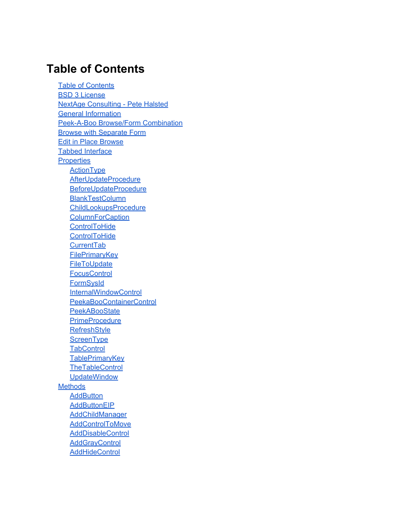### **Table of Contents**

**Table of Contents** [BSD 3 License](#page-4-0) [NextAge](#page-4-0) [Consulting - Pete](#page-4-0) [Halsted](#page-4-0) [General](#page-5-0) [Information](#page-5-0) [Peek-A-Boo](#page-6-0) [Browse/Form](#page-6-0) [Combination](#page-6-0) [Browse](#page-9-0) [with](#page-9-0) [Separate](#page-9-0) [Form](#page-9-0) [Edit](#page-12-0) [in](#page-12-0) [Place](#page-12-0) [Browse](#page-12-0) [Tabbed](#page-13-0) [Interface](#page-13-0) **[Properties](#page-16-0) [ActionType](#page-16-0)** [AfterUpdateProcedure](#page-16-0) [BeforeUpdateProcedure](#page-16-0) **[BlankTestColumn](#page-16-0)** [ChildLookupsProcedure](#page-16-0) **[ColumnForCaption](#page-16-0) [ControlToHide](#page-16-0) [ControlToHide](#page-16-0) [CurrentTab](#page-16-0) [FilePrimaryKey](#page-16-0) [FileToUpdate](#page-17-0) [FocusControl](#page-17-0) [FormSysId](#page-17-0)** [InternalWindowControl](#page-17-0) [PeekaBooContainerControl](#page-17-0) **[PeekABooState](#page-17-0) [PrimeProcedure](#page-17-0) [RefreshStyle](#page-17-0) [ScreenType](#page-17-0) [TabControl](#page-18-0) [TablePrimaryKey](#page-18-0) [TheTableControl](#page-18-0) [UpdateWindow](#page-18-0) [Methods](#page-19-0) [AddButton](#page-19-0) [AddButtonEIP](#page-19-0)** [AddChildManager](#page-19-0) [AddControlToMove](#page-19-0) **[AddDisableControl](#page-19-0) [AddGrayControl](#page-19-0) [AddHideControl](#page-19-0)**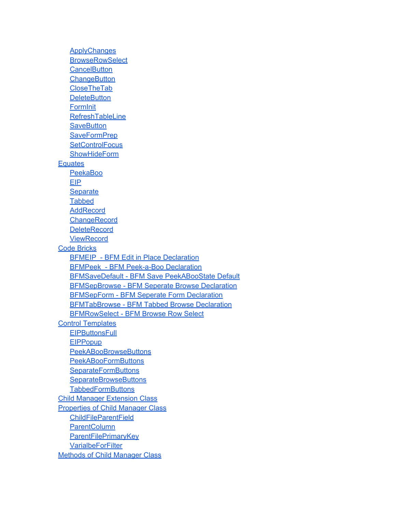**[ApplyChanges](#page-19-0) [BrowseRowSelect](#page-19-0) [CancelButton](#page-19-0) [ChangeButton](#page-19-0)** [CloseTheTab](#page-20-0) **[DeleteButton](#page-20-0) [FormInit](#page-20-0) [RefreshTableLine](#page-20-0) [SaveButton](#page-20-0) [SaveFormPrep](#page-20-0) [SetControlFocus](#page-20-0) [ShowHideForm](#page-20-0) [Equates](#page-21-0)** [PeekaBoo](#page-21-0) [EIP](#page-21-0) **[Separate](#page-21-0) [Tabbed](#page-21-0)** [AddRecord](#page-21-0) **[ChangeRecord](#page-21-0) [DeleteRecord](#page-21-0) [ViewRecord](#page-21-0)** [Code](#page-22-0) [Bricks](#page-22-0) [BFMEIP - BFM](#page-22-0) [Edit](#page-22-0) [in](#page-22-0) [Place](#page-22-0) [Declaration](#page-22-0) [BFMPeek - BFM](#page-22-0) [Peek-a-Boo](#page-22-0) [Declaration](#page-22-0) [BFMSaveDefault - BFM](#page-22-0) [Save](#page-22-0) [PeekABooState](#page-22-0) [Default](#page-22-0) [BFMSepBrowse - BFM](#page-22-0) [Seperate](#page-22-0) [Browse](#page-22-0) [Declaration](#page-22-0) [BFMSepForm - BFM](#page-22-0) [Seperate](#page-22-0) [Form](#page-22-0) [Declaration](#page-22-0) [BFMTabBrowse - BFM](#page-22-0) [Tabbed](#page-22-0) [Browse](#page-22-0) [Declaration](#page-22-0) [BFMRowSelect - BFM](#page-22-0) [Browse](#page-22-0) [Row](#page-22-0) [Select](#page-22-0) [Control](#page-23-0) [Templates](#page-23-0) **[EIPButtonsFull](#page-23-0) [EIPPopup](#page-23-0)** [PeekABooBrowseButtons](#page-23-0) [PeekABooFormButtons](#page-23-0) **[SeparateFormButtons](#page-23-0) [SeparateBrowseButtons](#page-23-0) [TabbedFormButtons](#page-23-0)** [Child](#page-24-0) [Manager](#page-24-0) [Extension](#page-24-0) [Class](#page-24-0) [Properties](#page-26-0) [of](#page-26-0) [Child](#page-26-0) [Manager](#page-26-0) [Class](#page-26-0) [ChildFileParentField](#page-26-0) **[ParentColumn](#page-26-0) [ParentFilePrimaryKey](#page-26-0) [VarialbeForFilter](#page-26-0)** [Methods](#page-27-0) [of](#page-27-0) [Child](#page-27-0) [Manager](#page-27-0) [Class](#page-27-0)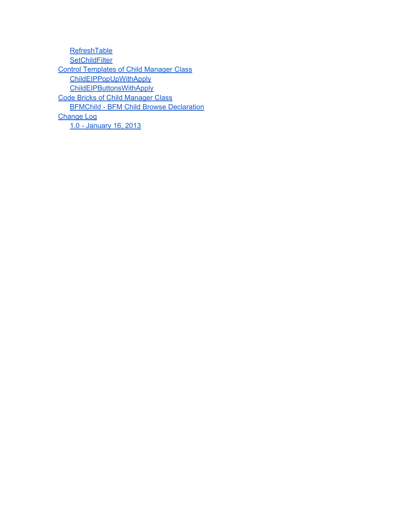**[RefreshTable](#page-27-0) [SetChildFilter](#page-27-0)** [Control](#page-28-0) [Templates](#page-28-0) [of](#page-28-0) [Child](#page-28-0) [Manager](#page-28-0) [Class](#page-28-0) [ChildEIPPopUpWithApply](#page-28-0) **[ChildEIPButtonsWithApply](#page-28-0)** [Code](#page-29-0) [Bricks](#page-29-0) [of](#page-29-0) [Child](#page-29-0) [Manager](#page-29-0) [Class](#page-29-0) [BFMChild - BFM](#page-29-0) [Child](#page-29-0) [Browse](#page-29-0) [Declaration](#page-29-0) [Change](#page-30-0) [Log](#page-30-0) [1.0 - January 16, 2013](#page-30-0)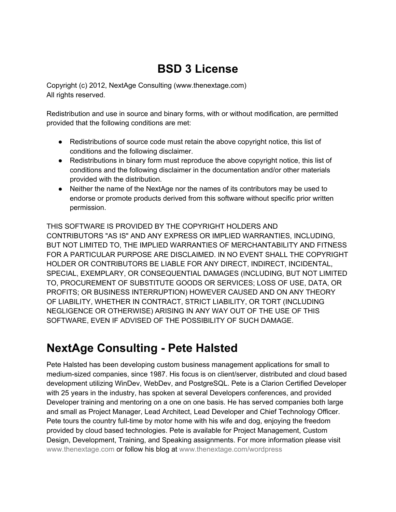# **BSD 3 License**

<span id="page-4-0"></span>Copyright (c) 2012, NextAge Consulting (www.thenextage.com) All rights reserved.

Redistribution and use in source and binary forms, with or without modification, are permitted provided that the following conditions are met:

- Redistributions of source code must retain the above copyright notice, this list of conditions and the following disclaimer.
- Redistributions in binary form must reproduce the above copyright notice, this list of conditions and the following disclaimer in the documentation and/or other materials provided with the distribution.
- Neither the name of the NextAge nor the names of its contributors may be used to endorse or promote products derived from this software without specific prior written permission.

THIS SOFTWARE IS PROVIDED BY THE COPYRIGHT HOLDERS AND CONTRIBUTORS "AS IS" AND ANY EXPRESS OR IMPLIED WARRANTIES, INCLUDING, BUT NOT LIMITED TO, THE IMPLIED WARRANTIES OF MERCHANTABILITY AND FITNESS FOR A PARTICULAR PURPOSE ARE DISCLAIMED. IN NO EVENT SHALL THE COPYRIGHT HOLDER OR CONTRIBUTORS BE LIABLE FOR ANY DIRECT, INDIRECT, INCIDENTAL, SPECIAL, EXEMPLARY, OR CONSEQUENTIAL DAMAGES (INCLUDING, BUT NOT LIMITED TO, PROCUREMENT OF SUBSTITUTE GOODS OR SERVICES; LOSS OF USE, DATA, OR PROFITS; OR BUSINESS INTERRUPTION) HOWEVER CAUSED AND ON ANY THEORY OF LIABILITY, WHETHER IN CONTRACT, STRICT LIABILITY, OR TORT (INCLUDING NEGLIGENCE OR OTHERWISE) ARISING IN ANY WAY OUT OF THE USE OF THIS SOFTWARE, EVEN IF ADVISED OF THE POSSIBILITY OF SUCH DAMAGE.

# **NextAge Consulting - Pete Halsted**

Pete Halsted has been developing custom business management applications for small to medium-sized companies, since 1987. His focus is on client/server, distributed and cloud based development utilizing WinDev, WebDev, and PostgreSQL. Pete is a Clarion Certified Developer with 25 years in the industry, has spoken at several Developers conferences, and provided Developer training and mentoring on a one on one basis. He has served companies both large and small as Project Manager, Lead Architect, Lead Developer and Chief Technology Officer. Pete tours the country full-time by motor home with his wife and dog, enjoying the freedom provided by cloud based technologies. Pete is available for Project Management, Custom Design, Development, Training, and Speaking assignments. For more information please visit [www.thenextage.com](http://www.thenextage.com/) or follow his blog at [www.thenextage.com/wordpress](http://www.thenextage.com/wordpress)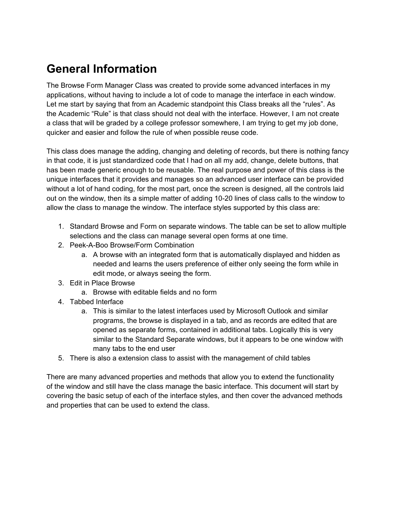# <span id="page-5-0"></span>**General Information**

The Browse Form Manager Class was created to provide some advanced interfaces in my applications, without having to include a lot of code to manage the interface in each window. Let me start by saying that from an Academic standpoint this Class breaks all the "rules". As the Academic "Rule" is that class should not deal with the interface. However, I am not create a class that will be graded by a college professor somewhere, I am trying to get my job done, quicker and easier and follow the rule of when possible reuse code.

This class does manage the adding, changing and deleting of records, but there is nothing fancy in that code, it is just standardized code that I had on all my add, change, delete buttons, that has been made generic enough to be reusable. The real purpose and power of this class is the unique interfaces that it provides and manages so an advanced user interface can be provided without a lot of hand coding, for the most part, once the screen is designed, all the controls laid out on the window, then its a simple matter of adding 10-20 lines of class calls to the window to allow the class to manage the window. The interface styles supported by this class are:

- 1. Standard Browse and Form on separate windows. The table can be set to allow multiple selections and the class can manage several open forms at one time.
- 2. Peek-A-Boo Browse/Form Combination
	- a. A browse with an integrated form that is automatically displayed and hidden as needed and learns the users preference of either only seeing the form while in edit mode, or always seeing the form.
- 3. Edit in Place Browse
	- a. Browse with editable fields and no form
- 4. Tabbed Interface
	- a. This is similar to the latest interfaces used by Microsoft Outlook and similar programs, the browse is displayed in a tab, and as records are edited that are opened as separate forms, contained in additional tabs. Logically this is very similar to the Standard Separate windows, but it appears to be one window with many tabs to the end user
- 5. There is also a extension class to assist with the management of child tables

There are many advanced properties and methods that allow you to extend the functionality of the window and still have the class manage the basic interface. This document will start by covering the basic setup of each of the interface styles, and then cover the advanced methods and properties that can be used to extend the class.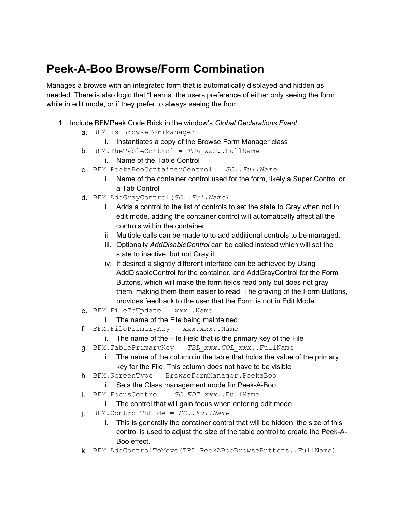# <span id="page-6-0"></span>**Peek-A-Boo Browse/Form Combination**

Manages a browse with an integrated form that is automatically displayed and hidden as needed. There is also logic that "Learns" the users preference of either only seeing the form while in edit mode, or if they prefer to always seeing the from.

- 1. Include BFMPeek Code Brick in the window's *Global Declarations Event*
	- a. BFM is BrowseFormManager
		- i. Instantiates a copy of the Browse Form Manager class
	- b. BFM.TheTableControl = *TBL\_xxx*..FullName
		- i. Name of the Table Control
	- c. BFM.PeekaBooContainerControl = *SC..FullName* 
		- i. Name of the container control used for the form, likely a Super Control or a Tab Control
	- d. BFM.AddGrayControl(*SC..FullName*)
		- i. Adds a control to the list of controls to set the state to Gray when not in edit mode, adding the container control will automatically affect all the controls within the container.
		- ii. Multiple calls can be made to to add additional controls to be managed.
		- iii. Optionally *AddDisableControl* can be called instead which will set the state to inactive, but not Gray it.
		- iv. If desired a slightly different interface can be achieved by Using AddDisableControl for the container, and AddGrayControl for the Form Buttons, which will make the form fields read only but does not gray them, making them them easier to read. The graying of the Form Buttons, provides feedback to the user that the Form is not in Edit Mode.
	- e. BFM.FileToUpdate = *xxx*..Name
		- i. The name of the File being maintained
	- f. BFM.FilePrimaryKey = *xxx.xxx*..Name
		- i. The name of the File Field that is the primary key of the File
	- g. BFM.TablePrimaryKey = *TBL\_xxx.COL\_xxx*..FullName
		- i. The name of the column in the table that holds the value of the primary key for the File. This column does not have to be visible
	- h. BFM.ScreenType = BrowseFormManager.PeekaBoo
		- i. Sets the Class management mode for Peek-A-Boo
	- i. BFM.FocusControl = *SC.EDT\_xxx*..FullName
		- i. The control that will gain focus when entering edit mode
	- j. BFM.ControlToHide = *SC..FullName*
		- i. This is generally the container control that will be hidden, the size of this control is used to adjust the size of the table control to create the Peek-A-Boo effect.
	- k. BFM.AddControlToMove(TPL\_PeekABooBrowseButtons..FullName)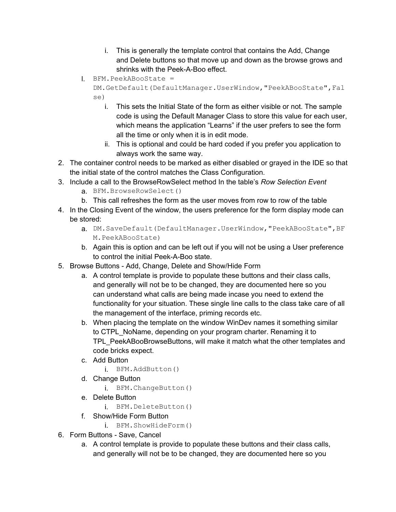- i. This is generally the template control that contains the Add, Change and Delete buttons so that move up and down as the browse grows and shrinks with the Peek-A-Boo effect.
- l. BFM.PeekABooState =

DM.GetDefault(DefaultManager.UserWindow,"PeekABooState",Fal se)

- i. This sets the Initial State of the form as either visible or not. The sample code is using the Default Manager Class to store this value for each user, which means the application "Learns" if the user prefers to see the form all the time or only when it is in edit mode.
- ii. This is optional and could be hard coded if you prefer you application to always work the same way.
- 2. The container control needs to be marked as either disabled or grayed in the IDE so that the initial state of the control matches the Class Configuration.
- 3. Include a call to the BrowseRowSelect method In the table's *Row Selection Event*
	- a. BFM.BrowseRowSelect()
	- b. This call refreshes the form as the user moves from row to row of the table
- 4. In the Closing Event of the window, the users preference for the form display mode can be stored:
	- a. DM. SaveDefault (DefaultManager. UserWindow, "PeekABooState", BF M.PeekABooState)
	- b. Again this is option and can be left out if you will not be using a User preference to control the initial Peek-A-Boo state.
- 5. Browse Buttons Add, Change, Delete and Show/Hide Form
	- a. A control template is provide to populate these buttons and their class calls, and generally will not be to be changed, they are documented here so you can understand what calls are being made incase you need to extend the functionality for your situation. These single line calls to the class take care of all the management of the interface, priming records etc.
	- b. When placing the template on the window WinDev names it something similar to CTPL\_NoName, depending on your program charter. Renaming it to TPL\_PeekABooBrowseButtons, will make it match what the other templates and code bricks expect.
	- c. Add Button
		- i. BFM.AddButton()
	- d. Change Button
		- i. BFM.ChangeButton()
	- e. Delete Button
		- i. BFM.DeleteButton()
	- f. Show/Hide Form Button
		- i. BFM.ShowHideForm()
- 6. Form Buttons Save, Cancel
	- a. A control template is provide to populate these buttons and their class calls, and generally will not be to be changed, they are documented here so you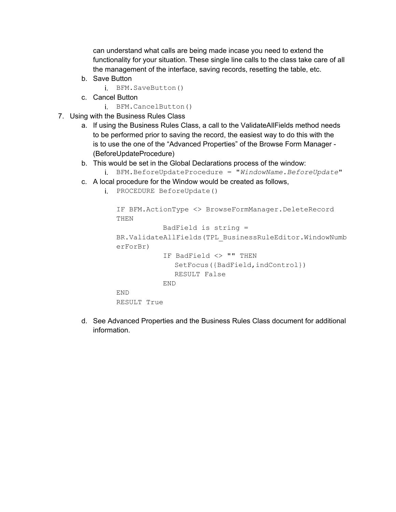can understand what calls are being made incase you need to extend the functionality for your situation. These single line calls to the class take care of all the management of the interface, saving records, resetting the table, etc.

b. Save Button

i. BFM.SaveButton()

- c. Cancel Button
	- i. BFM.CancelButton()
- 7. Using with the Business Rules Class
	- a. If using the Business Rules Class, a call to the ValidateAllFields method needs to be performed prior to saving the record, the easiest way to do this with the is to use the one of the "Advanced Properties" of the Browse Form Manager - (BeforeUpdateProcedure)
	- b. This would be set in the Global Declarations process of the window:
		- i. BFM.BeforeUpdateProcedure = "*WindowName.BeforeUpdate*"
	- c. A local procedure for the Window would be created as follows,
		- i. PROCEDURE BeforeUpdate()

```
IF BFM.ActionType <> BrowseFormManager.DeleteRecord 
THEN
           BadField is string = 
BR.ValidateAllFields(TPL_BusinessRuleEditor.WindowNumb
erForBr) 
           IF BadField <> "" THEN
              SetFocus({BadField,indControl})
             RESULT False
           END
END
RESULT True
```
d. See Advanced Properties and the Business Rules Class document for additional information.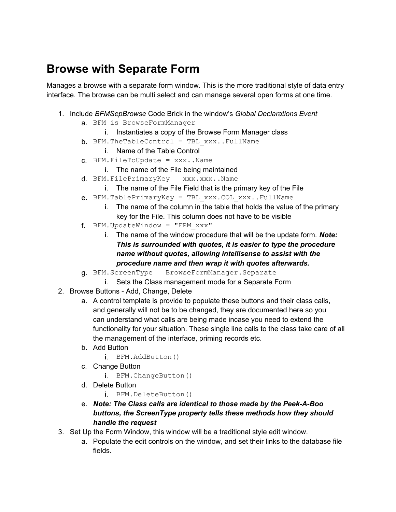### <span id="page-9-0"></span>**Browse with Separate Form**

Manages a browse with a separate form window. This is the more traditional style of data entry interface. The browse can be multi select and can manage several open forms at one time.

- 1. Include *BFMSepBrowse* Code Brick in the window's *Global Declarations Event*
	- a. BFM is BrowseFormManager
		- i. Instantiates a copy of the Browse Form Manager class
	- $b.$  BFM.TheTableControl = TBL xxx..FullName
		- i. Name of the Table Control
	- $C.$  BFM. FileToUpdate =  $xxxx.$  Name
		- i. The name of the File being maintained
	- $d.$  BFM.FilePrimaryKey =  $xxx$ .xxx..Name
		- i. The name of the File Field that is the primary key of the File
	- e. BFM.TablePrimaryKey = TBL\_xxx.COL\_xxx..FullName
		- i. The name of the column in the table that holds the value of the primary key for the File. This column does not have to be visible
	- f. BFM.UpdateWindow = "FRM\_xxx"
		- i. The name of the window procedure that will be the update form. *Note: This is surrounded with quotes, it is easier to type the procedure name without quotes, allowing intellisense to assist with the procedure name and then wrap it with quotes afterwards.*
	- g. BFM.ScreenType = BrowseFormManager.Separate
		- i. Sets the Class management mode for a Separate Form
- 2. Browse Buttons Add, Change, Delete
	- a. A control template is provide to populate these buttons and their class calls, and generally will not be to be changed, they are documented here so you can understand what calls are being made incase you need to extend the functionality for your situation. These single line calls to the class take care of all the management of the interface, priming records etc.
	- b. Add Button
		- i. BFM.AddButton()
	- c. Change Button
		- i. BFM.ChangeButton()
	- d. Delete Button
		- i. BFM.DeleteButton()
	- e. *Note: The Class calls are identical to those made by the Peek-A-Boo buttons, the ScreenType property tells these methods how they should handle the request*
- 3. Set Up the Form Window, this window will be a traditional style edit window.
	- a. Populate the edit controls on the window, and set their links to the database file fields.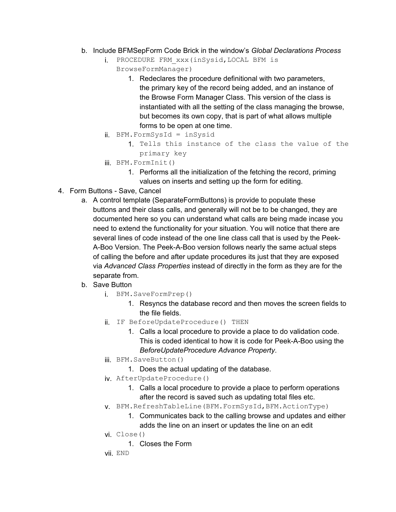- b. Include BFMSepForm Code Brick in the window's *Global Declarations Process*
	- i. PROCEDURE FRM\_xxx(inSysid,LOCAL BFM is BrowseFormManager)
		- 1. Redeclares the procedure definitional with two parameters, the primary key of the record being added, and an instance of the Browse Form Manager Class. This version of the class is instantiated with all the setting of the class managing the browse, but becomes its own copy, that is part of what allows multiple forms to be open at one time.
	- ii. BFM.FormSysId = inSysid
		- 1. Tells this instance of the class the value of the primary key
	- iii. BFM.FormInit()
		- 1. Performs all the initialization of the fetching the record, priming values on inserts and setting up the form for editing.
- 4. Form Buttons Save, Cancel
	- a. A control template (SeparateFormButtons) is provide to populate these buttons and their class calls, and generally will not be to be changed, they are documented here so you can understand what calls are being made incase you need to extend the functionality for your situation. You will notice that there are several lines of code instead of the one line class call that is used by the Peek-A-Boo Version. The Peek-A-Boo version follows nearly the same actual steps of calling the before and after update procedures its just that they are exposed via *Advanced Class Properties* instead of directly in the form as they are for the separate from.
	- b. Save Button
		- i. BFM.SaveFormPrep()
			- 1. Resyncs the database record and then moves the screen fields to the file fields.
		- ii. IF BeforeUpdateProcedure() THEN
			- 1. Calls a local procedure to provide a place to do validation code. This is coded identical to how it is code for Peek-A-Boo using the *BeforeUpdateProcedure Advance Property*.
		- iii. BFM.SaveButton()
			- 1. Does the actual updating of the database.
		- iv. AfterUpdateProcedure()
			- 1. Calls a local procedure to provide a place to perform operations after the record is saved such as updating total files etc.
		- v. BFM.RefreshTableLine(BFM.FormSysId,BFM.ActionType)
			- 1. Communicates back to the calling browse and updates and either adds the line on an insert or updates the line on an edit
		- vi. Close()
			- 1. Closes the Form
		- vii. END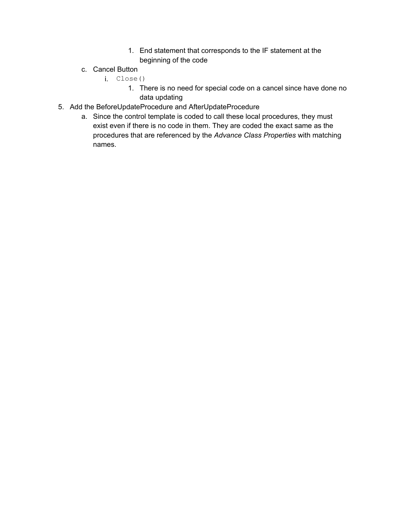- 1. End statement that corresponds to the IF statement at the beginning of the code
- c. Cancel Button
	- i. Close()
		- 1. There is no need for special code on a cancel since have done no data updating
- 5. Add the BeforeUpdateProcedure and AfterUpdateProcedure
	- a. Since the control template is coded to call these local procedures, they must exist even if there is no code in them. They are coded the exact same as the procedures that are referenced by the *Advance Class Properties* with matching names.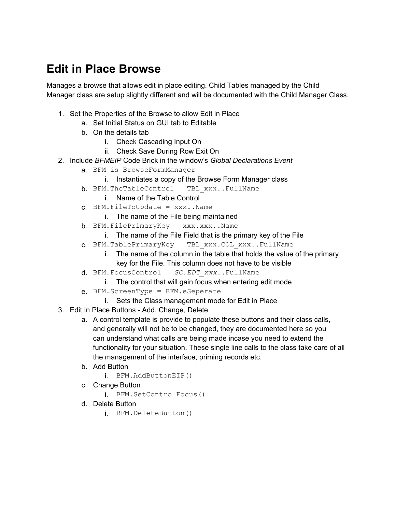# <span id="page-12-0"></span>**Edit in Place Browse**

Manages a browse that allows edit in place editing. Child Tables managed by the Child Manager class are setup slightly different and will be documented with the Child Manager Class.

- 1. Set the Properties of the Browse to allow Edit in Place
	- a. Set Initial Status on GUI tab to Editable
	- b. On the details tab
		- i. Check Cascading Input On
		- ii. Check Save During Row Exit On
- 2. Include *BFMEIP* Code Brick in the window's *Global Declarations Event*
	- a. BFM is BrowseFormManager
		- i. Instantiates a copy of the Browse Form Manager class
	- $b.$  BFM.TheTableControl = TBL  $xxxx.$ .FullName
		- i. Name of the Table Control
	- $c.$  BFM. FileToUpdate =  $xxx$ .. Name
		- i. The name of the File being maintained
	- $b.$  BFM. FilePrimaryKey =  $xxx.xxx.$  Name
		- i. The name of the File Field that is the primary key of the File
	- c. BFM.TablePrimaryKey = TBL\_xxx.COL\_xxx..FullName
		- i. The name of the column in the table that holds the value of the primary key for the File. This column does not have to be visible
	- d. BFM.FocusControl = *SC.EDT\_xxx*..FullName
		- i. The control that will gain focus when entering edit mode
	- e. BFM.ScreenType = BFM.eSeperate
		- i. Sets the Class management mode for Edit in Place
- 3. Edit In Place Buttons Add, Change, Delete
	- a. A control template is provide to populate these buttons and their class calls, and generally will not be to be changed, they are documented here so you can understand what calls are being made incase you need to extend the functionality for your situation. These single line calls to the class take care of all the management of the interface, priming records etc.
	- b. Add Button
		- i. BFM.AddButtonEIP()
	- c. Change Button
		- i. BFM.SetControlFocus()
	- d. Delete Button
		- i. BFM.DeleteButton()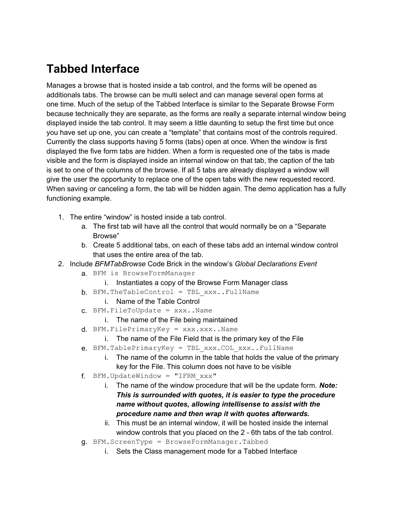# <span id="page-13-0"></span>**Tabbed Interface**

Manages a browse that is hosted inside a tab control, and the forms will be opened as additionals tabs. The browse can be multi select and can manage several open forms at one time. Much of the setup of the Tabbed Interface is similar to the Separate Browse Form because technically they are separate, as the forms are really a separate internal window being displayed inside the tab control. It may seem a little daunting to setup the first time but once you have set up one, you can create a "template" that contains most of the controls required. Currently the class supports having 5 forms (tabs) open at once. When the window is first displayed the five form tabs are hidden. When a form is requested one of the tabs is made visible and the form is displayed inside an internal window on that tab, the caption of the tab is set to one of the columns of the browse. If all 5 tabs are already displayed a window will give the user the opportunity to replace one of the open tabs with the new requested record. When saving or canceling a form, the tab will be hidden again. The demo application has a fully functioning example.

- 1. The entire "window" is hosted inside a tab control.
	- a. The first tab will have all the control that would normally be on a "Separate Browse"
	- b. Create 5 additional tabs, on each of these tabs add an internal window control that uses the entire area of the tab.
- 2. Include *BFMTabBrowse* Code Brick in the window's *Global Declarations Event*
	- a. BFM is BrowseFormManager
		- i. Instantiates a copy of the Browse Form Manager class
	- $b.$  BFM.TheTableControl = TBL  $xxx. . FullName$ 
		- i. Name of the Table Control
	- $c.$  BFM. FileToUpdate =  $xxx$ . Name
		- i. The name of the File being maintained
	- $d.$  BFM.FilePrimaryKey =  $xxx.xxx.$ Name
		- i. The name of the File Field that is the primary key of the File
	- e. BFM.TablePrimaryKey = TBL\_xxx.COL\_xxx..FullName
		- i. The name of the column in the table that holds the value of the primary key for the File. This column does not have to be visible
	- f. BFM.UpdateWindow = "IFRM\_xxx"
		- i. The name of the window procedure that will be the update form. *Note: This is surrounded with quotes, it is easier to type the procedure name without quotes, allowing intellisense to assist with the procedure name and then wrap it with quotes afterwards.*
		- ii. This must be an internal window, it will be hosted inside the internal window controls that you placed on the 2 - 6th tabs of the tab control.
	- g. BFM.ScreenType = BrowseFormManager.Tabbed
		- i. Sets the Class management mode for a Tabbed Interface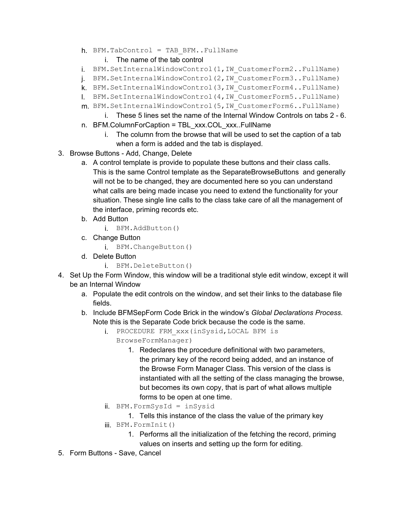- $h$ . BFM.TabControl = TAB BFM..FullName
	- i. The name of the tab control
- i. BFM.SetInternalWindowControl(1,IW\_CustomerForm2..FullName)
- j. BFM.SetInternalWindowControl(2,IW\_CustomerForm3..FullName)
- k. BFM.SetInternalWindowControl(3,IW\_CustomerForm4..FullName)
- l. BFM.SetInternalWindowControl(4,IW\_CustomerForm5..FullName)
- m. BFM.SetInternalWindowControl(5,IW\_CustomerForm6..FullName)
	- i. These 5 lines set the name of the Internal Window Controls on tabs 2 6.
- n. BFM.ColumnForCaption = TBL\_xxx.COL\_xxx..FullName
	- i. The column from the browse that will be used to set the caption of a tab when a form is added and the tab is displayed.
- 3. Browse Buttons Add, Change, Delete
	- a. A control template is provide to populate these buttons and their class calls. This is the same Control template as the SeparateBrowseButtons and generally will not be to be changed, they are documented here so you can understand what calls are being made incase you need to extend the functionality for your situation. These single line calls to the class take care of all the management of the interface, priming records etc.
	- b. Add Button
		- i. BFM.AddButton()
	- c. Change Button
		- i. BFM.ChangeButton()
	- d. Delete Button
		- i. BFM.DeleteButton()
- 4. Set Up the Form Window, this window will be a traditional style edit window, except it will be an Internal Window
	- a. Populate the edit controls on the window, and set their links to the database file fields.
	- b. Include BFMSepForm Code Brick in the window's *Global Declarations Process.*  Note this is the Separate Code brick because the code is the same.
		- i. PROCEDURE FRM\_xxx(inSysid,LOCAL BFM is
			- BrowseFormManager)
				- 1. Redeclares the procedure definitional with two parameters, the primary key of the record being added, and an instance of the Browse Form Manager Class. This version of the class is instantiated with all the setting of the class managing the browse, but becomes its own copy, that is part of what allows multiple forms to be open at one time.
		- ii. BFM.FormSysId = inSysid
			- 1. Tells this instance of the class the value of the primary key
		- iii. BFM.FormInit()
			- 1. Performs all the initialization of the fetching the record, priming values on inserts and setting up the form for editing.
- 5. Form Buttons Save, Cancel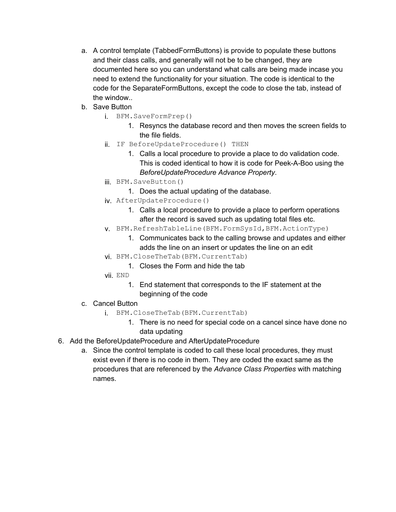- a. A control template (TabbedFormButtons) is provide to populate these buttons and their class calls, and generally will not be to be changed, they are documented here so you can understand what calls are being made incase you need to extend the functionality for your situation. The code is identical to the code for the SeparateFormButtons, except the code to close the tab, instead of the window..
- b. Save Button
	- i. BFM.SaveFormPrep()
		- 1. Resyncs the database record and then moves the screen fields to the file fields.
	- ii. IF BeforeUpdateProcedure() THEN
		- 1. Calls a local procedure to provide a place to do validation code. This is coded identical to how it is code for Peek-A-Boo using the *BeforeUpdateProcedure Advance Property*.
	- iii. BFM.SaveButton()
		- 1. Does the actual updating of the database.
	- iv. AfterUpdateProcedure()
		- 1. Calls a local procedure to provide a place to perform operations after the record is saved such as updating total files etc.
	- v. BFM.RefreshTableLine(BFM.FormSysId,BFM.ActionType)
		- 1. Communicates back to the calling browse and updates and either adds the line on an insert or updates the line on an edit
	- vi. BFM.CloseTheTab(BFM.CurrentTab)
		- 1. Closes the Form and hide the tab
	- vii. END
		- 1. End statement that corresponds to the IF statement at the beginning of the code
- c. Cancel Button
	- i. BFM.CloseTheTab(BFM.CurrentTab)
		- 1. There is no need for special code on a cancel since have done no data updating
- 6. Add the BeforeUpdateProcedure and AfterUpdateProcedure
	- a. Since the control template is coded to call these local procedures, they must exist even if there is no code in them. They are coded the exact same as the procedures that are referenced by the *Advance Class Properties* with matching names.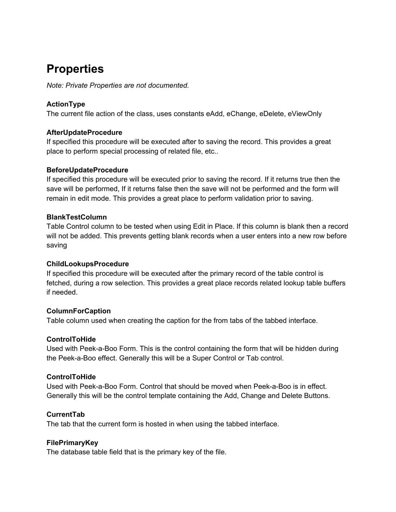# <span id="page-16-0"></span>**Properties**

*Note: Private Properties are not documented.*

#### **ActionType**

The current file action of the class, uses constants eAdd, eChange, eDelete, eViewOnly

#### **AfterUpdateProcedure**

If specified this procedure will be executed after to saving the record. This provides a great place to perform special processing of related file, etc..

#### **BeforeUpdateProcedure**

If specified this procedure will be executed prior to saving the record. If it returns true then the save will be performed, If it returns false then the save will not be performed and the form will remain in edit mode. This provides a great place to perform validation prior to saving.

#### **BlankTestColumn**

Table Control column to be tested when using Edit in Place. If this column is blank then a record will not be added. This prevents getting blank records when a user enters into a new row before saving

#### **ChildLookupsProcedure**

If specified this procedure will be executed after the primary record of the table control is fetched, during a row selection. This provides a great place records related lookup table buffers if needed.

#### **ColumnForCaption**

Table column used when creating the caption for the from tabs of the tabbed interface.

#### **ControlToHide**

Used with Peek-a-Boo Form. This is the control containing the form that will be hidden during the Peek-a-Boo effect. Generally this will be a Super Control or Tab control.

#### **ControlToHide**

Used with Peek-a-Boo Form. Control that should be moved when Peek-a-Boo is in effect. Generally this will be the control template containing the Add, Change and Delete Buttons.

#### **CurrentTab**

The tab that the current form is hosted in when using the tabbed interface.

#### **FilePrimaryKey**

The database table field that is the primary key of the file.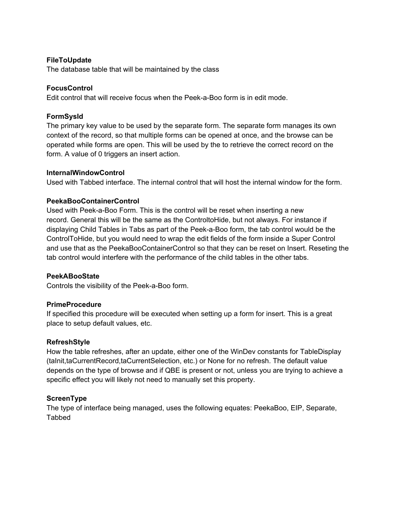#### <span id="page-17-0"></span>**FileToUpdate**

The database table that will be maintained by the class

#### **FocusControl**

Edit control that will receive focus when the Peek-a-Boo form is in edit mode.

#### **FormSysId**

The primary key value to be used by the separate form. The separate form manages its own context of the record, so that multiple forms can be opened at once, and the browse can be operated while forms are open. This will be used by the to retrieve the correct record on the form. A value of 0 triggers an insert action.

#### **InternalWindowControl**

Used with Tabbed interface. The internal control that will host the internal window for the form.

#### **PeekaBooContainerControl**

Used with Peek-a-Boo Form. This is the control will be reset when inserting a new record. General this will be the same as the ControltoHide, but not always. For instance if displaying Child Tables in Tabs as part of the Peek-a-Boo form, the tab control would be the ControlToHide, but you would need to wrap the edit fields of the form inside a Super Control and use that as the PeekaBooContainerControl so that they can be reset on Insert. Reseting the tab control would interfere with the performance of the child tables in the other tabs.

#### **PeekABooState**

Controls the visibility of the Peek-a-Boo form.

#### **PrimeProcedure**

If specified this procedure will be executed when setting up a form for insert. This is a great place to setup default values, etc.

#### **RefreshStyle**

How the table refreshes, after an update, either one of the WinDev constants for TableDisplay (taInit,taCurrentRecord,taCurrentSelection, etc.) or None for no refresh. The default value depends on the type of browse and if QBE is present or not, unless you are trying to achieve a specific effect you will likely not need to manually set this property.

#### **ScreenType**

The type of interface being managed, uses the following equates: PeekaBoo, EIP, Separate, **Tabbed**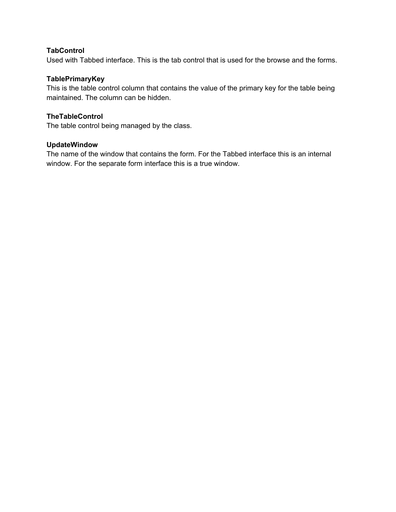#### <span id="page-18-0"></span>**TabControl**

Used with Tabbed interface. This is the tab control that is used for the browse and the forms.

#### **TablePrimaryKey**

This is the table control column that contains the value of the primary key for the table being maintained. The column can be hidden.

#### **TheTableControl**

The table control being managed by the class.

#### **UpdateWindow**

The name of the window that contains the form. For the Tabbed interface this is an internal window. For the separate form interface this is a true window.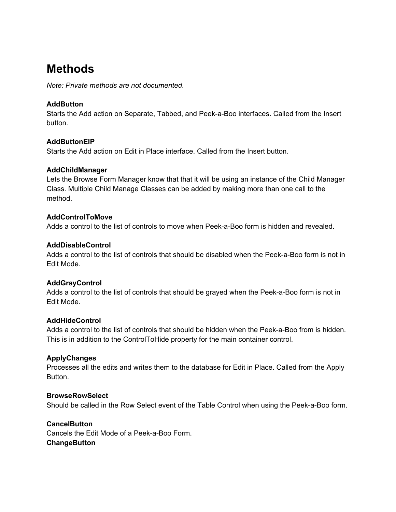# <span id="page-19-0"></span>**Methods**

*Note: Private methods are not documented.*

#### **AddButton**

Starts the Add action on Separate, Tabbed, and Peek-a-Boo interfaces. Called from the Insert button.

#### **AddButtonEIP**

Starts the Add action on Edit in Place interface. Called from the Insert button.

#### **AddChildManager**

Lets the Browse Form Manager know that that it will be using an instance of the Child Manager Class. Multiple Child Manage Classes can be added by making more than one call to the method.

#### **AddControlToMove**

Adds a control to the list of controls to move when Peek-a-Boo form is hidden and revealed.

#### **AddDisableControl**

Adds a control to the list of controls that should be disabled when the Peek-a-Boo form is not in Edit Mode.

#### **AddGrayControl**

Adds a control to the list of controls that should be grayed when the Peek-a-Boo form is not in Edit Mode.

#### **AddHideControl**

Adds a control to the list of controls that should be hidden when the Peek-a-Boo from is hidden. This is in addition to the ControlToHide property for the main container control.

#### **ApplyChanges**

Processes all the edits and writes them to the database for Edit in Place. Called from the Apply Button.

#### **BrowseRowSelect**

Should be called in the Row Select event of the Table Control when using the Peek-a-Boo form.

#### **CancelButton**

Cancels the Edit Mode of a Peek-a-Boo Form. **ChangeButton**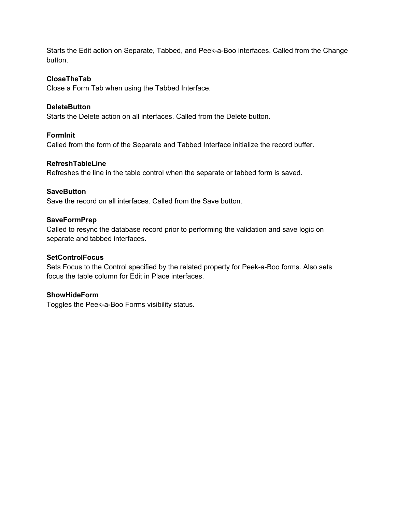<span id="page-20-0"></span>Starts the Edit action on Separate, Tabbed, and Peek-a-Boo interfaces. Called from the Change button.

#### **CloseTheTab**

Close a Form Tab when using the Tabbed Interface.

#### **DeleteButton**

Starts the Delete action on all interfaces. Called from the Delete button.

#### **FormInit**

Called from the form of the Separate and Tabbed Interface initialize the record buffer.

#### **RefreshTableLine**

Refreshes the line in the table control when the separate or tabbed form is saved.

#### **SaveButton**

Save the record on all interfaces. Called from the Save button.

#### **SaveFormPrep**

Called to resync the database record prior to performing the validation and save logic on separate and tabbed interfaces.

#### **SetControlFocus**

Sets Focus to the Control specified by the related property for Peek-a-Boo forms. Also sets focus the table column for Edit in Place interfaces.

#### **ShowHideForm**

Toggles the Peek-a-Boo Forms visibility status.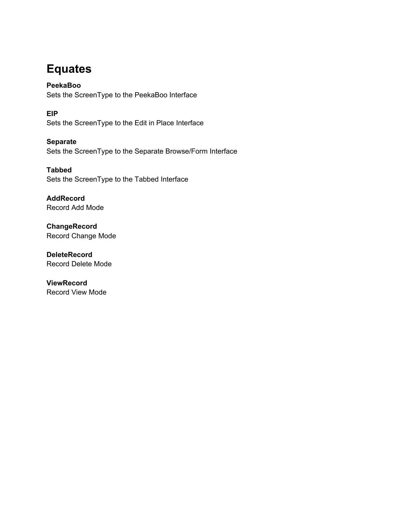# <span id="page-21-0"></span>**Equates**

**PeekaBoo** Sets the ScreenType to the PeekaBoo Interface

**EIP** Sets the ScreenType to the Edit in Place Interface

**Separate**  Sets the ScreenType to the Separate Browse/Form Interface

**Tabbed**  Sets the ScreenType to the Tabbed Interface

**AddRecord**  Record Add Mode

**ChangeRecord**  Record Change Mode

**DeleteRecord**  Record Delete Mode

**ViewRecord**  Record View Mode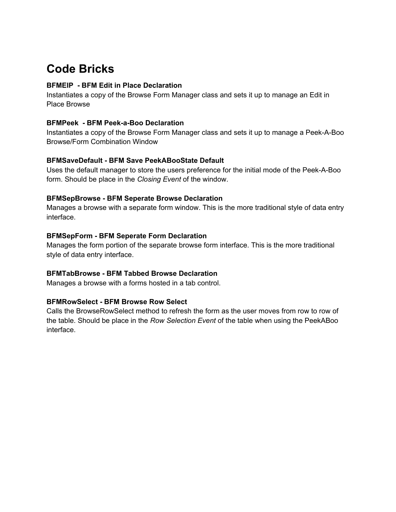# <span id="page-22-0"></span>**Code Bricks**

#### **BFMEIP - BFM Edit in Place Declaration**

Instantiates a copy of the Browse Form Manager class and sets it up to manage an Edit in Place Browse

#### **BFMPeek - BFM Peek-a-Boo Declaration**

Instantiates a copy of the Browse Form Manager class and sets it up to manage a Peek-A-Boo Browse/Form Combination Window

#### **BFMSaveDefault - BFM Save PeekABooState Default**

Uses the default manager to store the users preference for the initial mode of the Peek-A-Boo form. Should be place in the *Closing Event* of the window.

#### **BFMSepBrowse - BFM Seperate Browse Declaration**

Manages a browse with a separate form window. This is the more traditional style of data entry interface.

#### **BFMSepForm - BFM Seperate Form Declaration**

Manages the form portion of the separate browse form interface. This is the more traditional style of data entry interface.

#### **BFMTabBrowse - BFM Tabbed Browse Declaration**

Manages a browse with a forms hosted in a tab control.

#### **BFMRowSelect - BFM Browse Row Select**

Calls the BrowseRowSelect method to refresh the form as the user moves from row to row of the table. Should be place in the *Row Selection Event* of the table when using the PeekABoo interface.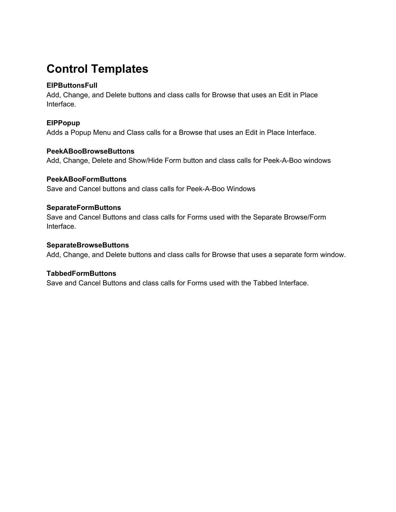# <span id="page-23-0"></span>**Control Templates**

#### **EIPButtonsFull**

Add, Change, and Delete buttons and class calls for Browse that uses an Edit in Place Interface.

#### **EIPPopup**

Adds a Popup Menu and Class calls for a Browse that uses an Edit in Place Interface.

#### **PeekABooBrowseButtons**

Add, Change, Delete and Show/Hide Form button and class calls for Peek-A-Boo windows

#### **PeekABooFormButtons**

Save and Cancel buttons and class calls for Peek-A-Boo Windows

#### **SeparateFormButtons**

Save and Cancel Buttons and class calls for Forms used with the Separate Browse/Form Interface.

#### **SeparateBrowseButtons**

Add, Change, and Delete buttons and class calls for Browse that uses a separate form window.

#### **TabbedFormButtons**

Save and Cancel Buttons and class calls for Forms used with the Tabbed Interface.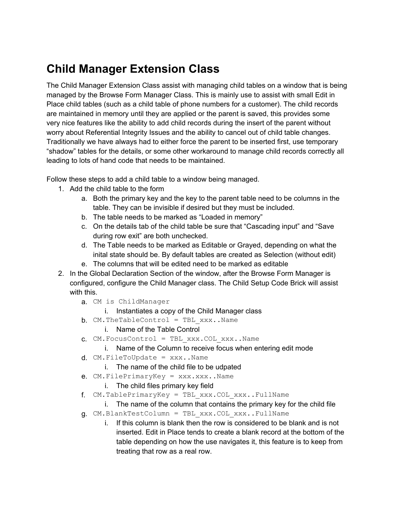# <span id="page-24-0"></span>**Child Manager Extension Class**

The Child Manager Extension Class assist with managing child tables on a window that is being managed by the Browse Form Manager Class. This is mainly use to assist with small Edit in Place child tables (such as a child table of phone numbers for a customer). The child records are maintained in memory until they are applied or the parent is saved, this provides some very nice features like the ability to add child records during the insert of the parent without worry about Referential Integrity Issues and the ability to cancel out of child table changes. Traditionally we have always had to either force the parent to be inserted first, use temporary "shadow" tables for the details, or some other workaround to manage child records correctly all leading to lots of hand code that needs to be maintained.

Follow these steps to add a child table to a window being managed.

- 1. Add the child table to the form
	- a. Both the primary key and the key to the parent table need to be columns in the table. They can be invisible if desired but they must be included.
	- b. The table needs to be marked as "Loaded in memory"
	- c. On the details tab of the child table be sure that "Cascading input" and "Save during row exit" are both unchecked.
	- d. The Table needs to be marked as Editable or Grayed, depending on what the inital state should be. By default tables are created as Selection (without edit)
	- e. The columns that will be edited need to be marked as editable
- 2. In the Global Declaration Section of the window, after the Browse Form Manager is configured, configure the Child Manager class. The Child Setup Code Brick will assist with this.
	- a. CM is ChildManager
		- i. Instantiates a copy of the Child Manager class
	- $b.$  CM.TheTableControl = TBL xxx..Name

#### i. Name of the Table Control

- $C.$  CM. Focus Control = TBL xxx.COL xxx..Name
	- i. Name of the Column to receive focus when entering edit mode
- $d.$  CM. FileToUpdate =  $xxxx$ .. Name
	- i. The name of the child file to be udpated
- e.  $CM.FilePrimaryKey = XXX.XXX$ . Name
	- i. The child files primary key field
- f. CM.TablePrimaryKey = TBL\_xxx.COL\_xxx..FullName
	- i. The name of the column that contains the primary key for the child file
- g. CM.BlankTestColumn = TBL\_xxx.COL\_xxx..FullName
	- i. If this column is blank then the row is considered to be blank and is not inserted. Edit in Place tends to create a blank record at the bottom of the table depending on how the use navigates it, this feature is to keep from treating that row as a real row.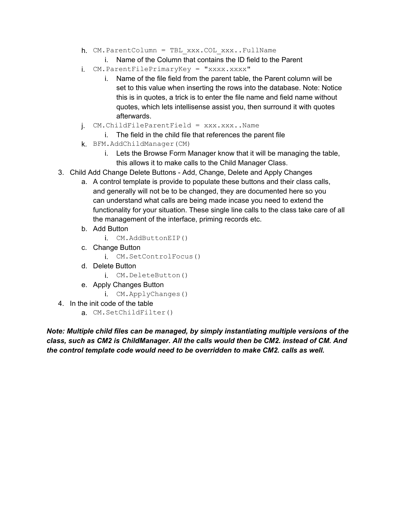- h. CM.ParentColumn = TBL\_xxx.COL\_xxx..FullName
	- i. Name of the Column that contains the ID field to the Parent
- i. CM.ParentFilePrimaryKey = "xxxx.xxxx"
	- i. Name of the file field from the parent table, the Parent column will be set to this value when inserting the rows into the database. Note: Notice this is in quotes, a trick is to enter the file name and field name without quotes, which lets intellisense assist you, then surround it with quotes afterwards.
- j. CM.ChildFileParentField = xxx.xxx..Name
	- i. The field in the child file that references the parent file
- k. BFM.AddChildManager(CM)
	- i. Lets the Browse Form Manager know that it will be managing the table, this allows it to make calls to the Child Manager Class.
- 3. Child Add Change Delete Buttons Add, Change, Delete and Apply Changes
	- a. A control template is provide to populate these buttons and their class calls, and generally will not be to be changed, they are documented here so you can understand what calls are being made incase you need to extend the functionality for your situation. These single line calls to the class take care of all the management of the interface, priming records etc.
	- b. Add Button
		- i. CM.AddButtonEIP()
	- c. Change Button
		- i. CM.SetControlFocus()
	- d. Delete Button
		- i. CM.DeleteButton()
	- e. Apply Changes Button
		- i. CM.ApplyChanges()
- 4. In the init code of the table
	- a. CM.SetChildFilter()

*Note: Multiple child files can be managed, by simply instantiating multiple versions of the class, such as CM2 is ChildManager. All the calls would then be CM2. instead of CM. And the control template code would need to be overridden to make CM2. calls as well.*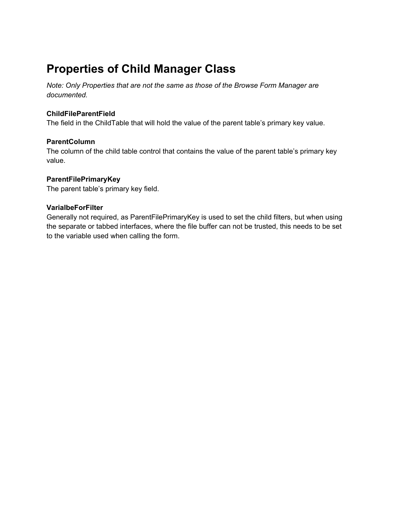# <span id="page-26-0"></span>**Properties of Child Manager Class**

*Note: Only Properties that are not the same as those of the Browse Form Manager are documented.*

#### **ChildFileParentField**

The field in the ChildTable that will hold the value of the parent table's primary key value.

#### **ParentColumn**

The column of the child table control that contains the value of the parent table's primary key value.

#### **ParentFilePrimaryKey**

The parent table's primary key field.

#### **VarialbeForFilter**

Generally not required, as ParentFilePrimaryKey is used to set the child filters, but when using the separate or tabbed interfaces, where the file buffer can not be trusted, this needs to be set to the variable used when calling the form.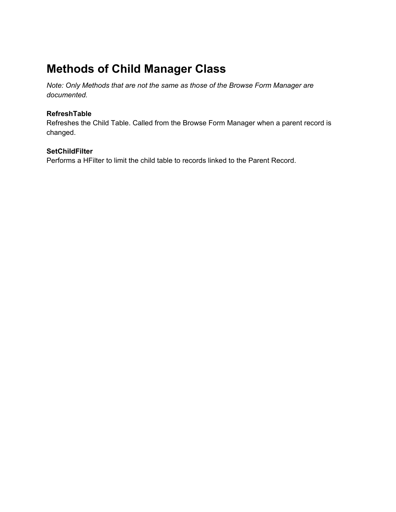# <span id="page-27-0"></span>**Methods of Child Manager Class**

*Note: Only Methods that are not the same as those of the Browse Form Manager are documented.*

#### **RefreshTable**

Refreshes the Child Table. Called from the Browse Form Manager when a parent record is changed.

#### **SetChildFilter**

Performs a HFilter to limit the child table to records linked to the Parent Record.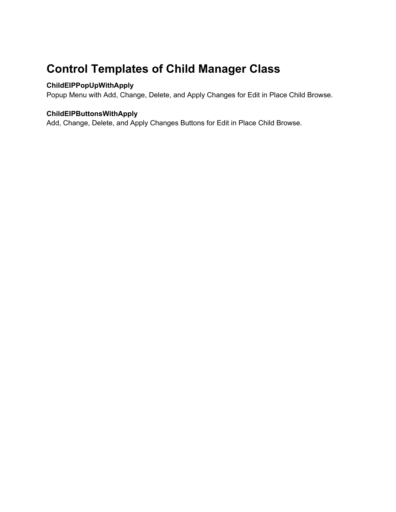# <span id="page-28-0"></span>**Control Templates of Child Manager Class**

#### **ChildEIPPopUpWithApply**

Popup Menu with Add, Change, Delete, and Apply Changes for Edit in Place Child Browse.

#### **ChildEIPButtonsWithApply**

Add, Change, Delete, and Apply Changes Buttons for Edit in Place Child Browse.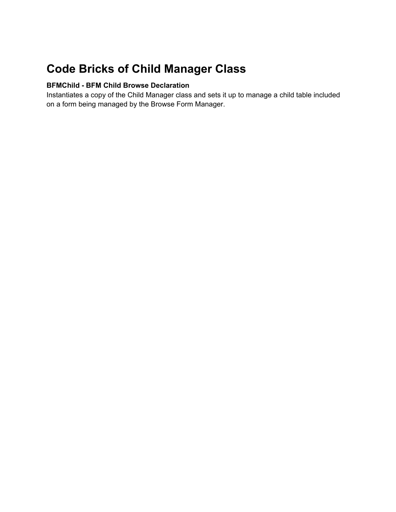# <span id="page-29-0"></span>**Code Bricks of Child Manager Class**

#### **BFMChild - BFM Child Browse Declaration**

Instantiates a copy of the Child Manager class and sets it up to manage a child table included on a form being managed by the Browse Form Manager.